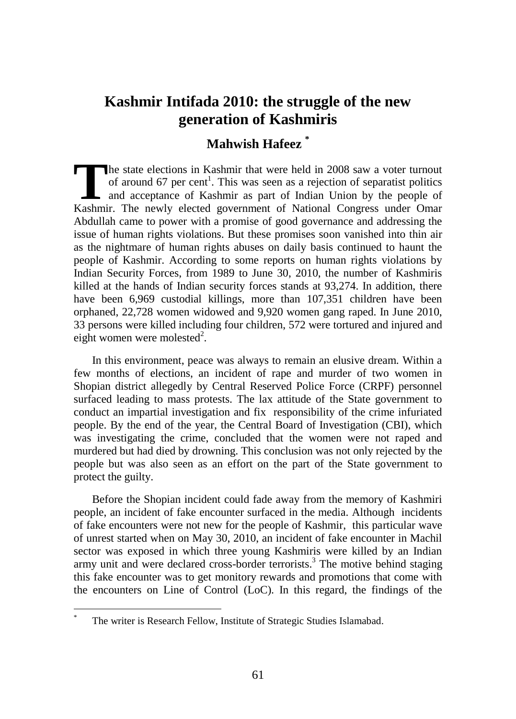# **Kashmir Intifada 2010: the struggle of the new generation of Kashmiris**

# **Mahwish Hafeez \***

he state elections in Kashmir that were held in 2008 saw a voter turnout of around 67 per cent<sup>1</sup>. This was seen as a rejection of separatist politics and acceptance of Kashmir as part of Indian Union by the people of The state elections in Kashmir that were held in 2008 saw a voter turnout of around 67 per cent<sup>1</sup>. This was seen as a rejection of separatist politics and acceptance of Kashmir as part of Indian Union by the people of Kas Abdullah came to power with a promise of good governance and addressing the issue of human rights violations. But these promises soon vanished into thin air as the nightmare of human rights abuses on daily basis continued to haunt the people of Kashmir. According to some reports on human rights violations by Indian Security Forces, from 1989 to June 30, 2010, the number of Kashmiris killed at the hands of Indian security forces stands at 93,274. In addition, there have been 6,969 custodial killings, more than 107,351 children have been orphaned, 22,728 women widowed and 9,920 women gang raped. In June 2010, 33 persons were killed including four children, 572 were tortured and injured and eight women were molested<sup>2</sup>.

In this environment, peace was always to remain an elusive dream. Within a few months of elections, an incident of rape and murder of two women in Shopian district allegedly by Central Reserved Police Force (CRPF) personnel surfaced leading to mass protests. The lax attitude of the State government to conduct an impartial investigation and fix responsibility of the crime infuriated people. By the end of the year, the Central Board of Investigation (CBI), which was investigating the crime, concluded that the women were not raped and murdered but had died by drowning. This conclusion was not only rejected by the people but was also seen as an effort on the part of the State government to protect the guilty.

Before the Shopian incident could fade away from the memory of Kashmiri people, an incident of fake encounter surfaced in the media. Although incidents of fake encounters were not new for the people of Kashmir, this particular wave of unrest started when on May 30, 2010, an incident of fake encounter in Machil sector was exposed in which three young Kashmiris were killed by an Indian army unit and were declared cross-border terrorists.<sup>3</sup> The motive behind staging this fake encounter was to get monitory rewards and promotions that come with the encounters on Line of Control (LoC). In this regard, the findings of the

 $\overline{a}$ 

The writer is Research Fellow, Institute of Strategic Studies Islamabad.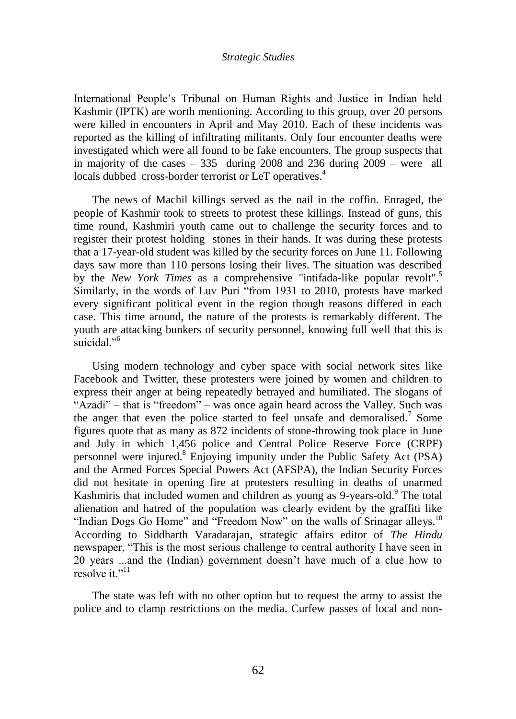#### *Strategic Studies*

International People"s Tribunal on Human Rights and Justice in Indian held Kashmir (IPTK) are worth mentioning. According to this group, over 20 persons were killed in encounters in April and May 2010. Each of these incidents was reported as the killing of infiltrating militants. Only four encounter deaths were investigated which were all found to be fake encounters. The group suspects that in majority of the cases – 335 during 2008 and 236 during 2009 – were all locals dubbed cross-border terrorist or LeT operatives.<sup>4</sup>

The news of Machil killings served as the nail in the coffin. Enraged, the people of Kashmir took to streets to protest these killings. Instead of guns, this time round, Kashmiri youth came out to challenge the security forces and to register their protest holding stones in their hands. It was during these protests that a 17-year-old student was killed by the security forces on June 11. Following days saw more than 110 persons losing their lives. The situation was described by the *New York Times* as a comprehensive "intifada-like popular revolt".<sup>5</sup> Similarly, in the words of Luv Puri "from 1931 to 2010, protests have marked every significant political event in the region though reasons differed in each case. This time around, the nature of the protests is remarkably different. The youth are attacking bunkers of security personnel, knowing full well that this is suicidal<sup>"6</sup>

Using modern technology and cyber space with social network sites like Facebook and Twitter, these protesters were joined by women and children to express their anger at being repeatedly betrayed and humiliated. The slogans of "Azadi" – that is "freedom" – was once again heard across the Valley. Such was the anger that even the police started to feel unsafe and demoralised.<sup>7</sup> Some figures quote that as many as 872 incidents of stone-throwing took place in June and July in which 1,456 police and Central Police Reserve Force (CRPF) personnel were injured.<sup>8</sup> Enjoying impunity under the Public Safety Act (PSA) and the Armed Forces Special Powers Act (AFSPA), the Indian Security Forces did not hesitate in opening fire at protesters resulting in deaths of unarmed Kashmiris that included women and children as young as 9-years-old.<sup>9</sup> The total alienation and hatred of the population was clearly evident by the graffiti like "Indian Dogs Go Home" and "Freedom Now" on the walls of Srinagar alleys.<sup>10</sup> According to Siddharth Varadarajan, strategic affairs editor of *The Hindu* newspaper, "This is the most serious challenge to central authority I have seen in 20 years ...and the (Indian) government doesn"t have much of a clue how to resolve it."<sup>11</sup>

The state was left with no other option but to request the army to assist the police and to clamp restrictions on the media. Curfew passes of local and non-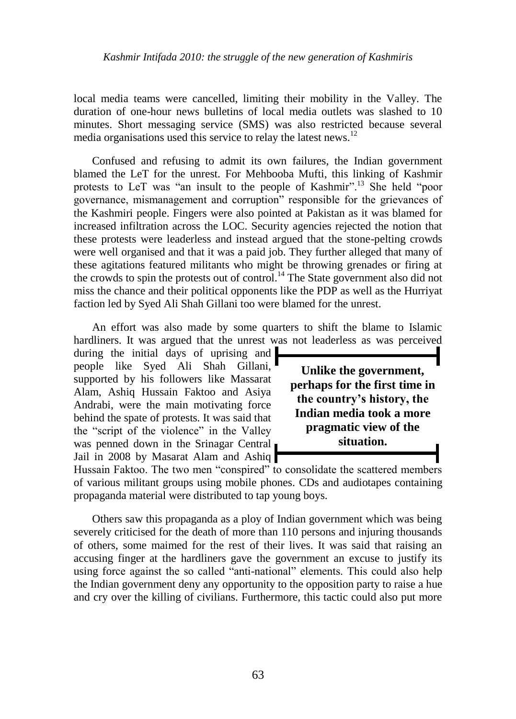# *Kashmir Intifada 2010: the struggle of the new generation of Kashmiris*

local media teams were cancelled, limiting their mobility in the Valley. The duration of one-hour news bulletins of local media outlets was slashed to 10 minutes. Short messaging service (SMS) was also restricted because several media organisations used this service to relay the latest news.<sup>12</sup>

Confused and refusing to admit its own failures, the Indian government blamed the LeT for the unrest. For Mehbooba Mufti, this linking of Kashmir protests to LeT was "an insult to the people of Kashmir".<sup>13</sup> She held "poor governance, mismanagement and corruption" responsible for the grievances of the Kashmiri people. Fingers were also pointed at Pakistan as it was blamed for increased infiltration across the LOC. Security agencies rejected the notion that these protests were leaderless and instead argued that the stone-pelting crowds were well organised and that it was a paid job. They further alleged that many of these agitations featured militants who might be throwing grenades or firing at the crowds to spin the protests out of control.<sup>14</sup> The State government also did not miss the chance and their political opponents like the PDP as well as the Hurriyat faction led by Syed Ali Shah Gillani too were blamed for the unrest.

An effort was also made by some quarters to shift the blame to Islamic hardliners. It was argued that the unrest was not leaderless as was perceived

during the initial days of uprising and people like Syed Ali Shah Gillani, supported by his followers like Massarat Alam, Ashiq Hussain Faktoo and Asiya Andrabi, were the main motivating force behind the spate of protests. It was said that the "script of the violence" in the Valley was penned down in the Srinagar Central Jail in 2008 by Masarat Alam and Ashiq



Hussain Faktoo. The two men "conspired" to consolidate the scattered members of various militant groups using mobile phones. CDs and audiotapes containing propaganda material were distributed to tap young boys.

Others saw this propaganda as a ploy of Indian government which was being severely criticised for the death of more than 110 persons and injuring thousands of others, some maimed for the rest of their lives. It was said that raising an accusing finger at the hardliners gave the government an excuse to justify its using force against the so called "anti-national" elements. This could also help the Indian government deny any opportunity to the opposition party to raise a hue and cry over the killing of civilians. Furthermore, this tactic could also put more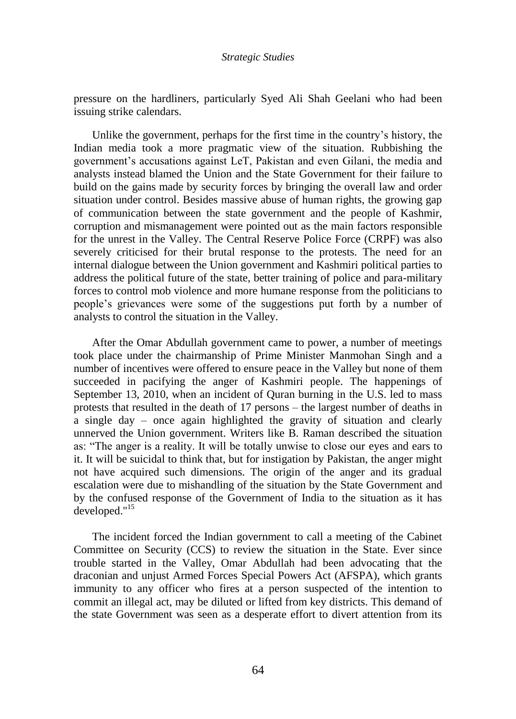#### *Strategic Studies*

pressure on the hardliners, particularly Syed Ali Shah Geelani who had been issuing strike calendars.

Unlike the government, perhaps for the first time in the country"s history, the Indian media took a more pragmatic view of the situation. Rubbishing the government's accusations against LeT, Pakistan and even Gilani, the media and analysts instead blamed the Union and the State Government for their failure to build on the gains made by security forces by bringing the overall law and order situation under control. Besides massive abuse of human rights, the growing gap of communication between the state government and the people of Kashmir, corruption and mismanagement were pointed out as the main factors responsible for the unrest in the Valley. The Central Reserve Police Force (CRPF) was also severely criticised for their brutal response to the protests. The need for an internal dialogue between the Union government and Kashmiri political parties to address the political future of the state, better training of police and para-military forces to control mob violence and more humane response from the politicians to people"s grievances were some of the suggestions put forth by a number of analysts to control the situation in the Valley.

After the Omar Abdullah government came to power, a number of meetings took place under the chairmanship of Prime Minister Manmohan Singh and a number of incentives were offered to ensure peace in the Valley but none of them succeeded in pacifying the anger of Kashmiri people. The happenings of September 13, 2010, when an incident of Quran burning in the U.S. led to mass protests that resulted in the death of 17 persons – the largest number of deaths in a single day – once again highlighted the gravity of situation and clearly unnerved the Union government. Writers like B. Raman described the situation as: "The anger is a reality. It will be totally unwise to close our eyes and ears to it. It will be suicidal to think that, but for instigation by Pakistan, the anger might not have acquired such dimensions. The origin of the anger and its gradual escalation were due to mishandling of the situation by the State Government and by the confused response of the Government of India to the situation as it has developed."<sup>15</sup>

The incident forced the Indian government to call a meeting of the Cabinet Committee on Security (CCS) to review the situation in the State. Ever since trouble started in the Valley, Omar Abdullah had been advocating that the draconian and unjust Armed Forces Special Powers Act (AFSPA), which grants immunity to any officer who fires at a person suspected of the intention to commit an illegal act, may be diluted or lifted from key districts. This demand of the state Government was seen as a desperate effort to divert attention from its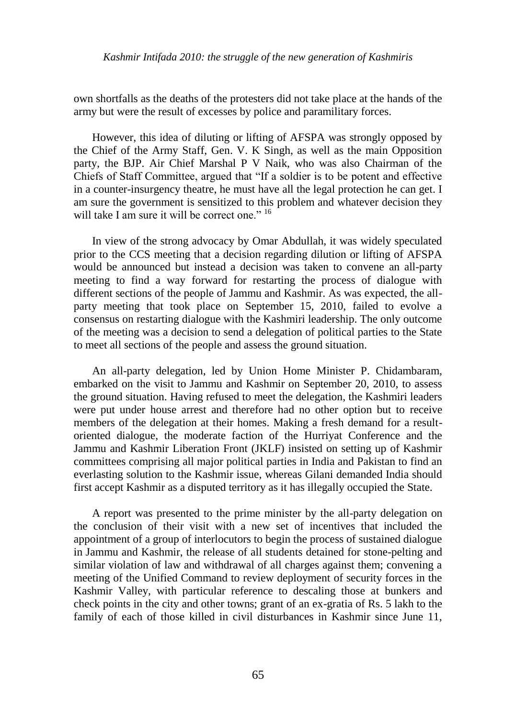own shortfalls as the deaths of the protesters did not take place at the hands of the army but were the result of excesses by police and paramilitary forces.

However, this idea of diluting or lifting of AFSPA was strongly opposed by the Chief of the Army Staff, Gen. V. K Singh, as well as the main Opposition party, the BJP. Air Chief Marshal P V Naik, who was also Chairman of the Chiefs of Staff Committee, argued that "If a soldier is to be potent and effective in a counter-insurgency theatre, he must have all the legal protection he can get. I am sure the government is sensitized to this problem and whatever decision they will take I am sure it will be correct one." <sup>16</sup>

In view of the strong advocacy by Omar Abdullah, it was widely speculated prior to the CCS meeting that a decision regarding dilution or lifting of AFSPA would be announced but instead a decision was taken to convene an all-party meeting to find a way forward for restarting the process of dialogue with different sections of the people of Jammu and Kashmir. As was expected, the allparty meeting that took place on September 15, 2010, failed to evolve a consensus on restarting dialogue with the Kashmiri leadership. The only outcome of the meeting was a decision to send a delegation of political parties to the State to meet all sections of the people and assess the ground situation.

An all-party delegation, led by Union Home Minister P. Chidambaram, embarked on the visit to Jammu and Kashmir on September 20, 2010, to assess the ground situation. Having refused to meet the delegation, the Kashmiri leaders were put under house arrest and therefore had no other option but to receive members of the delegation at their homes. Making a fresh demand for a resultoriented dialogue, the moderate faction of the Hurriyat Conference and the Jammu and Kashmir Liberation Front (JKLF) insisted on setting up of Kashmir committees comprising all major political parties in India and Pakistan to find an everlasting solution to the Kashmir issue, whereas Gilani demanded India should first accept Kashmir as a disputed territory as it has illegally occupied the State.

A report was presented to the prime minister by the all-party delegation on the conclusion of their visit with a new set of incentives that included the appointment of a group of interlocutors to begin the process of sustained dialogue in Jammu and Kashmir, the release of all students detained for stone-pelting and similar violation of law and withdrawal of all charges against them; convening a meeting of the Unified Command to review deployment of security forces in the Kashmir Valley, with particular reference to descaling those at bunkers and check points in the city and other towns; grant of an ex-gratia of Rs. 5 lakh to the family of each of those killed in civil disturbances in Kashmir since June 11,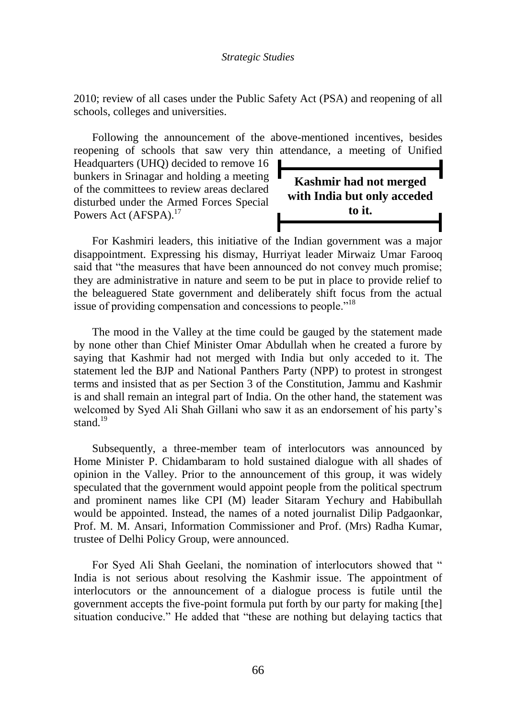2010; review of all cases under the Public Safety Act (PSA) and reopening of all schools, colleges and universities.

Following the announcement of the above-mentioned incentives, besides reopening of schools that saw very thin attendance, a meeting of Unified

Headquarters (UHQ) decided to remove 16 bunkers in Srinagar and holding a meeting of the committees to review areas declared disturbed under the Armed Forces Special Powers Act (AFSPA).<sup>17</sup>

**Kashmir had not merged with India but only acceded to it.**

For Kashmiri leaders, this initiative of the Indian government was a major disappointment. Expressing his dismay, Hurriyat leader Mirwaiz Umar Farooq said that "the measures that have been announced do not convey much promise; they are administrative in nature and seem to be put in place to provide relief to the beleaguered State government and deliberately shift focus from the actual issue of providing compensation and concessions to people."<sup>18</sup>

The mood in the Valley at the time could be gauged by the statement made by none other than Chief Minister Omar Abdullah when he created a furore by saying that Kashmir had not merged with India but only acceded to it. The statement led the BJP and National Panthers Party (NPP) to protest in strongest terms and insisted that as per Section 3 of the Constitution, Jammu and Kashmir is and shall remain an integral part of India. On the other hand, the statement was welcomed by Syed Ali Shah Gillani who saw it as an endorsement of his party"s stand. $19$ 

Subsequently, a three-member team of interlocutors was announced by Home Minister P. Chidambaram to hold sustained dialogue with all shades of opinion in the Valley. Prior to the announcement of this group, it was widely speculated that the government would appoint people from the political spectrum and prominent names like CPI (M) leader Sitaram Yechury and Habibullah would be appointed. Instead, the names of a noted journalist Dilip Padgaonkar, Prof. M. M. Ansari, Information Commissioner and Prof. (Mrs) Radha Kumar, trustee of Delhi Policy Group, were announced.

For Syed Ali Shah Geelani, the nomination of interlocutors showed that " India is not serious about resolving the Kashmir issue. The appointment of interlocutors or the announcement of a dialogue process is futile until the government accepts the five-point formula put forth by our party for making [the] situation conducive." He added that "these are nothing but delaying tactics that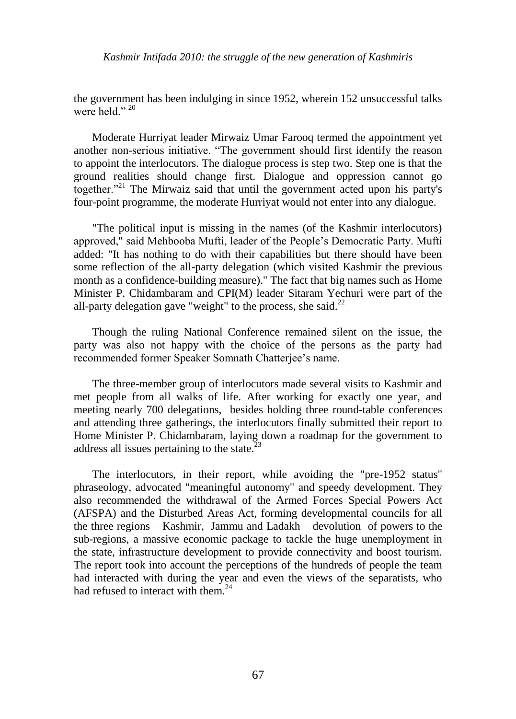# *Kashmir Intifada 2010: the struggle of the new generation of Kashmiris*

the government has been indulging in since 1952, wherein 152 unsuccessful talks were held  $"$ <sup>20</sup>

Moderate Hurriyat leader Mirwaiz Umar Farooq termed the appointment yet another non-serious initiative. "The government should first identify the reason to appoint the interlocutors. The dialogue process is step two. Step one is that the ground realities should change first. Dialogue and oppression cannot go together. $12^{21}$  The Mirwaiz said that until the government acted upon his party's four-point programme, the moderate Hurriyat would not enter into any dialogue.

"The political input is missing in the names (of the Kashmir interlocutors) approved," said Mehbooba Mufti, leader of the People"s Democratic Party. Mufti added: "It has nothing to do with their capabilities but there should have been some reflection of the all-party delegation (which visited Kashmir the previous month as a confidence-building measure)." The fact that big names such as Home Minister P. Chidambaram and CPI(M) leader Sitaram Yechuri were part of the all-party delegation gave "weight" to the process, she said.<sup>22</sup>

Though the ruling National Conference remained silent on the issue, the party was also not happy with the choice of the persons as the party had recommended former Speaker Somnath Chatterjee's name.

The three-member group of interlocutors made several visits to Kashmir and met people from all walks of life. After working for exactly one year, and meeting nearly 700 delegations, besides holding three round-table conferences and attending three gatherings, the interlocutors finally submitted their report to Home Minister P. Chidambaram, laying down a roadmap for the government to address all issues pertaining to the state. $23$ 

The interlocutors, in their report, while avoiding the "pre-1952 status" phraseology, advocated "meaningful autonomy" and speedy development. They also recommended the withdrawal of the Armed Forces Special Powers Act (AFSPA) and the Disturbed Areas Act, forming developmental councils for all the three regions – Kashmir, Jammu and Ladakh – devolution of powers to the sub-regions, a massive economic package to tackle the huge unemployment in the state, infrastructure development to provide connectivity and boost tourism. The report took into account the perceptions of the hundreds of people the team had interacted with during the year and even the views of the separatists, who had refused to interact with them.<sup>24</sup>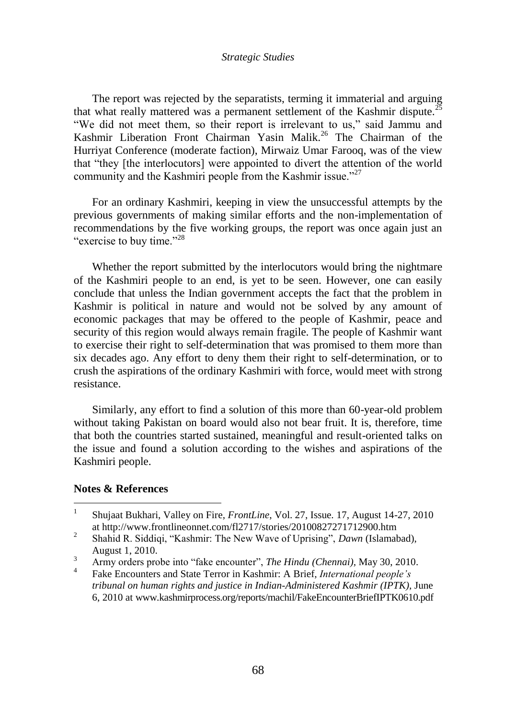#### *Strategic Studies*

The report was rejected by the separatists, terming it immaterial and arguing that what really mattered was a permanent settlement of the Kashmir dispute.<sup>25</sup> "We did not meet them, so their report is irrelevant to us," said Jammu and Kashmir Liberation Front Chairman Yasin Malik.<sup>26</sup> The Chairman of the Hurriyat Conference (moderate faction), Mirwaiz Umar Farooq, was of the view that "they [the interlocutors] were appointed to divert the attention of the world community and the Kashmiri people from the Kashmir issue."<sup>27</sup>

For an ordinary Kashmiri, keeping in view the unsuccessful attempts by the previous governments of making similar efforts and the non-implementation of recommendations by the five working groups, the report was once again just an "exercise to buy time."<sup>28</sup>

Whether the report submitted by the interlocutors would bring the nightmare of the Kashmiri people to an end, is yet to be seen. However, one can easily conclude that unless the Indian government accepts the fact that the problem in Kashmir is political in nature and would not be solved by any amount of economic packages that may be offered to the people of Kashmir, peace and security of this region would always remain fragile. The people of Kashmir want to exercise their right to self-determination that was promised to them more than six decades ago. Any effort to deny them their right to self-determination, or to crush the aspirations of the ordinary Kashmiri with force, would meet with strong resistance.

Similarly, any effort to find a solution of this more than 60-year-old problem without taking Pakistan on board would also not bear fruit. It is, therefore, time that both the countries started sustained, meaningful and result-oriented talks on the issue and found a solution according to the wishes and aspirations of the Kashmiri people.

### **Notes & References**

 $\overline{a}$ 

<sup>1</sup> Shujaat Bukhari, Valley on Fire, *FrontLine*, Vol. 27, Issue. 17, August 14-27, 2010 at http://www.frontlineonnet.com/fl2717/stories/20100827271712900.htm

 $\mathcal{L}$ Shahid R. Siddiqi, "Kashmir: The New Wave of Uprising", *Dawn* (Islamabad), August 1, 2010.

<sup>3</sup> Army orders probe into "fake encounter", *The Hindu (Chennai),* May 30, 2010.

<sup>4</sup> Fake Encounters and State Terror in Kashmir: A Brief*, International people's tribunal on human rights and justice in Indian-Administered Kashmir (IPTK),* June 6, 2010 at www.kashmirprocess.org/reports/machil/FakeEncounterBriefIPTK0610.pdf